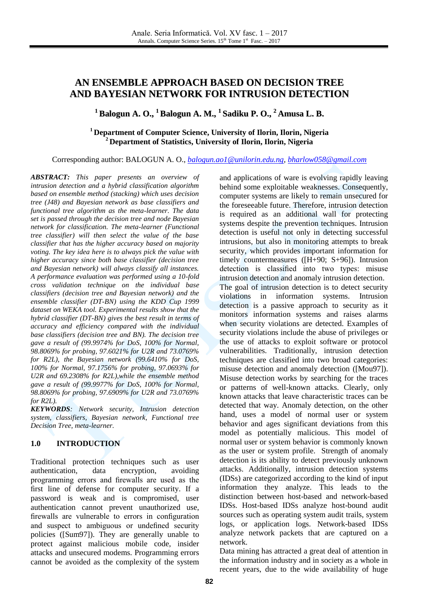# **AN ENSEMBLE APPROACH BASED ON DECISION TREE AND BAYESIAN NETWORK FOR INTRUSION DETECTION**

**<sup>1</sup> Balogun A. O., <sup>1</sup> Balogun A. M., 1 Sadiku P. O., <sup>2</sup> Amusa L. B.**

# **<sup>1</sup> Department of Computer Science, University of Ilorin, Ilorin, Nigeria <sup>2</sup> Department of Statistics, University of Ilorin, Ilorin, Nigeria**

Corresponding author: BALOGUN A. O., *[balogun.ao1@unilorin.edu.ng,](mailto:balogun.ao1@unilorin.edu.ng) [bharlow058@gmail.com](mailto:bharlow058@gmail.com)*

*ABSTRACT: This paper presents an overview of intrusion detection and a hybrid classification algorithm based on ensemble method (stacking) which uses decision tree (J48) and Bayesian network as base classifiers and functional tree algorithm as the meta-learner. The data set is passed through the decision tree and node Bayesian network for classification. The meta-learner (Functional tree classifier) will then select the value of the base classifier that has the higher accuracy based on majority voting. The key idea here is to always pick the value with higher accuracy since both base classifier (decision tree and Bayesian network) will always classify all instances. A performance evaluation was performed using a 10-fold cross validation technique on the individual base classifiers (decision tree and Bayesian network) and the ensemble classifier (DT-BN) using the KDD Cup 1999 dataset on WEKA tool. Experimental results show that the hybrid classifier (DT-BN) gives the best result in terms of accuracy and efficiency compared with the individual base classifiers (decision tree and BN). The decision tree gave a result of (99.9974% for DoS, 100% for Normal, 98.8069% for probing, 97.6021% for U2R and 73.0769% for R2L), the Bayesian network (99.6410% for DoS, 100% for Normal, 97.1756% for probing, 97.0693% for U2R and 69.2308% for R2L),while the ensemble method gave a result of (99.9977% for DoS, 100% for Normal, 98.8069% for probing, 97.6909% for U2R and 73.0769% for R2L).*

*KEYWORDS: Network security, Intrusion detection system, classifiers, Bayesian network, Functional tree Decision Tree, meta-learner.* 

# **1.0 INTRODUCTION**

Traditional protection techniques such as user authentication, data encryption, avoiding programming errors and firewalls are used as the first line of defense for computer security. If a password is weak and is compromised, user authentication cannot prevent unauthorized use, firewalls are vulnerable to errors in configuration and suspect to ambiguous or undefined security policies ([Sum97]). They are generally unable to protect against malicious mobile code, insider attacks and unsecured modems. Programming errors cannot be avoided as the complexity of the system and applications of ware is evolving rapidly leaving behind some exploitable weaknesses. Consequently, computer systems are likely to remain unsecured for the foreseeable future. Therefore, intrusion detection is required as an additional wall for protecting systems despite the prevention techniques. Intrusion detection is useful not only in detecting successful intrusions, but also in monitoring attempts to break security, which provides important information for timely countermeasures ([H+90; S+96]). Intrusion detection is classified into two types: misuse intrusion detection and anomaly intrusion detection. The goal of intrusion detection is to detect security violations in information systems. Intrusion detection is a passive approach to security as it monitors information systems and raises alarms when security violations are detected. Examples of security violations include the abuse of privileges or the use of attacks to exploit software or protocol vulnerabilities. Traditionally, intrusion detection techniques are classified into two broad categories: misuse detection and anomaly detection ([Mou97]). Misuse detection works by searching for the traces or patterns of well-known attacks. Clearly, only known attacks that leave characteristic traces can be detected that way. Anomaly detection, on the other hand, uses a model of normal user or system behavior and ages significant deviations from this model as potentially malicious. This model of normal user or system behavior is commonly known as the user or system profile. Strength of anomaly detection is its ability to detect previously unknown attacks. Additionally, intrusion detection systems (IDSs) are categorized according to the kind of input information they analyze. This leads to the distinction between host-based and network-based IDSs. Host-based IDSs analyze host-bound audit sources such as operating system audit trails, system logs, or application logs. Network-based IDSs analyze network packets that are captured on a network.

Data mining has attracted a great deal of attention in the information industry and in society as a whole in recent years, due to the wide availability of huge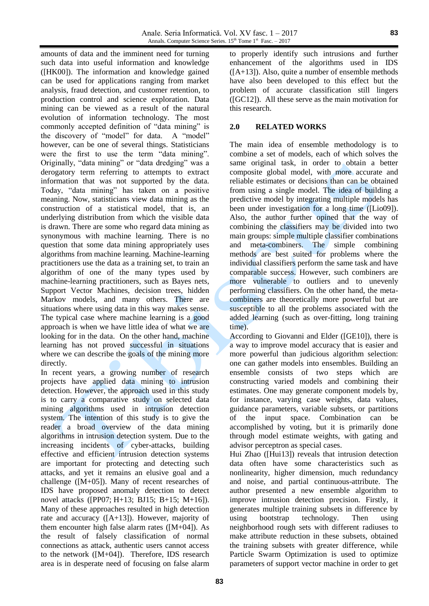amounts of data and the imminent need for turning such data into useful information and knowledge ([HK00]). The information and knowledge gained can be used for applications ranging from market analysis, fraud detection, and customer retention, to production control and science exploration. Data mining can be viewed as a result of the natural evolution of information technology. The most commonly accepted definition of "data mining" is the discovery of "model" for data. A "model" however, can be one of several things. Statisticians were the first to use the term "data mining". Originally, "data mining" or "data dredging" was a derogatory term referring to attempts to extract information that was not supported by the data. Today, "data mining" has taken on a positive meaning. Now, statisticians view data mining as the construction of a statistical model, that is, an underlying distribution from which the visible data is drawn. There are some who regard data mining as synonymous with machine learning. There is no question that some data mining appropriately uses algorithms from machine learning. Machine-learning practitioners use the data as a training set, to train an algorithm of one of the many types used by machine-learning practitioners, such as Bayes nets, Support Vector Machines, decision trees, hidden Markov models, and many others. There are situations where using data in this way makes sense. The typical case where machine learning is a good approach is when we have little idea of what we are looking for in the data. On the other hand, machine learning has not proved successful in situations where we can describe the goals of the mining more directly.

In recent years, a growing number of research projects have applied data mining to intrusion detection. However, the approach used in this study is to carry a comparative study on selected data mining algorithms used in intrusion detection system. The intention of this study is to give the reader a broad overview of the data mining algorithms in intrusion detection system. Due to the increasing incidents of cyber-attacks, building effective and efficient intrusion detection systems are important for protecting and detecting such attacks, and yet it remains an elusive goal and a challenge ([M+05]). Many of recent researches of IDS have proposed anomaly detection to detect novel attacks ([PP07; H+13; BJ15; B+15; M+16]). Many of these approaches resulted in high detection rate and accuracy ([A+13]). However, majority of them encounter high false alarm rates  $([M+04])$ . As the result of falsely classification of normal connections as attack, authentic users cannot access to the network ([M+04]). Therefore, IDS research area is in desperate need of focusing on false alarm

to properly identify such intrusions and further enhancement of the algorithms used in IDS  $([A+13])$ . Also, quite a number of ensemble methods have also been developed to this effect but the problem of accurate classification still lingers ([GC12]). All these serve as the main motivation for this research.

# **2.0 RELATED WORKS**

The main idea of ensemble methodology is to combine a set of models, each of which solves the same original task, in order to obtain a better composite global model, with more accurate and reliable estimates or decisions than can be obtained from using a single model. The idea of building a predictive model by integrating multiple models has been under investigation for a long time ([Lio09]). Also, the author further opined that the way of combining the classifiers may be divided into two main groups: simple multiple classifier combinations and meta-combiners. The simple combining methods are best suited for problems where the individual classifiers perform the same task and have comparable success. However, such combiners are more vulnerable to outliers and to unevenly performing classifiers. On the other hand, the metacombiners are theoretically more powerful but are susceptible to all the problems associated with the added learning (such as over-fitting, long training time).

According to Giovanni and Elder ([GE10]), there is a way to improve model accuracy that is easier and more powerful than judicious algorithm selection: one can gather models into ensembles. Building an ensemble consists of two steps which are constructing varied models and combining their estimates. One may generate component models by, for instance, varying case weights, data values, guidance parameters, variable subsets, or partitions of the input space. Combination can be accomplished by voting, but it is primarily done through model estimate weights, with gating and advisor perceptron as special cases.

Hui Zhao ([Hui13]) reveals that intrusion detection data often have some characteristics such as nonlinearity, higher dimension, much redundancy and noise, and partial continuous-attribute. The author presented a new ensemble algorithm to improve intrusion detection precision. Firstly, it generates multiple training subsets in difference by using bootstrap technology. Then using neighborhood rough sets with different radiuses to make attribute reduction in these subsets, obtained the training subsets with greater difference, while Particle Swarm Optimization is used to optimize parameters of support vector machine in order to get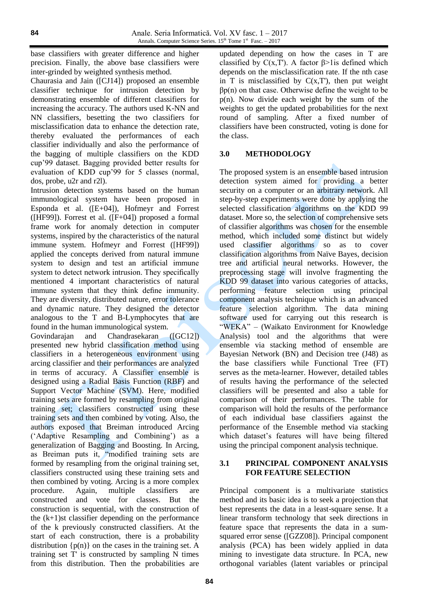base classifiers with greater difference and higher precision. Finally, the above base classifiers were inter-grinded by weighted synthesis method.

Chaurasia and Jain ([CJ14]) proposed an ensemble classifier technique for intrusion detection by demonstrating ensemble of different classifiers for increasing the accuracy. The authors used K-NN and NN classifiers, besetting the two classifiers for misclassification data to enhance the detection rate, thereby evaluated the performances of each classifier individually and also the performance of the bagging of multiple classifiers on the KDD cup'99 dataset. Bagging provided better results for evaluation of KDD cup'99 for 5 classes (normal, dos, probe, u2r and r2l).

Intrusion detection systems based on the human immunological system have been proposed in Esponda et al. ([E+04]), Hofmeyr and Forrest ( $[HF99]$ ). Forrest et al.  $([F+04])$  proposed a formal frame work for anomaly detection in computer systems, inspired by the characteristics of the natural immune system. Hofmeyr and Forrest ([HF99]) applied the concepts derived from natural immune system to design and test an artificial immune system to detect network intrusion. They specifically mentioned 4 important characteristics of natural immune system that they think define immunity. They are diversity, distributed nature, error tolerance and dynamic nature. They designed the detector analogous to the T and B-Lymphocytes that are found in the human immunological system.

Govindarajan and Chandrasekaran ([GC12]) presented new hybrid classification method using classifiers in a heterogeneous environment using arcing classifier and their performances are analyzed in terms of accuracy. A Classifier ensemble is designed using a Radial Basis Function (RBF) and Support Vector Machine (SVM). Here, modified training sets are formed by resampling from original training set; classifiers constructed using these training sets and then combined by voting. Also, the authors exposed that Breiman introduced Arcing ('Adaptive Resampling and Combining') as a generalization of Bagging and Boosting. In Arcing, as Breiman puts it, "modified training sets are formed by resampling from the original training set, classifiers constructed using these training sets and then combined by voting. Arcing is a more complex procedure. Again, multiple classifiers are constructed and vote for classes. But the construction is sequential, with the construction of the  $(k+1)$ st classifier depending on the performance of the k previously constructed classifiers. At the start of each construction, there is a probability distribution  $\{p(n)\}\$  on the cases in the training set. A training set T' is constructed by sampling N times from this distribution. Then the probabilities are

updated depending on how the cases in T are classified by  $C(x,T')$ . A factor  $\beta$ >1is defined which depends on the misclassification rate. If the nth case in T is misclassified by  $C(x,T)$ , then put weight  $βp(n)$  on that case. Otherwise define the weight to be p(n). Now divide each weight by the sum of the weights to get the updated probabilities for the next round of sampling. After a fixed number of classifiers have been constructed, voting is done for the class.

# **3.0 METHODOLOGY**

The proposed system is an ensemble based intrusion detection system aimed for providing a better security on a computer or an arbitrary network. All step-by-step experiments were done by applying the selected classification algorithms on the KDD 99 dataset. More so, the selection of comprehensive sets of classifier algorithms was chosen for the ensemble method, which included some distinct but widely used classifier algorithms so as to cover classification algorithms from Naïve Bayes, decision tree and artificial neural networks. However, the preprocessing stage will involve fragmenting the KDD 99 dataset into various categories of attacks, performing feature selection using principal component analysis technique which is an advanced feature selection algorithm. The data mining software used for carrying out this research is "WEKA" – (Waikato Environment for Knowledge Analysis) tool and the algorithms that were ensemble via stacking method of ensemble are Bayesian Network (BN) and Decision tree (J48) as the base classifiers while Functional Tree (FT) serves as the meta-learner. However, detailed tables of results having the performance of the selected classifiers will be presented and also a table for comparison of their performances. The table for comparison will hold the results of the performance of each individual base classifiers against the performance of the Ensemble method via stacking which dataset's features will have being filtered using the principal component analysis technique.

# **3.1 PRINCIPAL COMPONENT ANALYSIS FOR FEATURE SELECTION**

Principal component is a multivariate statistics method and its basic idea is to seek a projection that best represents the data in a least-square sense. It a linear transform technology that seek directions in feature space that represents the data in a sumsquared error sense ([GZZ08]). Principal component analysis (PCA) has been widely applied in data mining to investigate data structure. In PCA, new orthogonal variables (latent variables or principal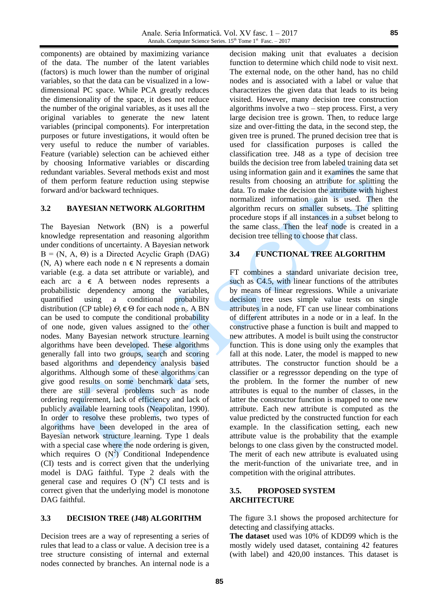components) are obtained by maximizing variance of the data. The number of the latent variables (factors) is much lower than the number of original variables, so that the data can be visualized in a lowdimensional PC space. While PCA greatly reduces the dimensionality of the space, it does not reduce the number of the original variables, as it uses all the original variables to generate the new latent variables (principal components). For interpretation purposes or future investigations, it would often be very useful to reduce the number of variables. Feature (variable) selection can be achieved either by choosing Informative variables or discarding redundant variables. Several methods exist and most of them perform feature reduction using stepwise forward and/or backward techniques.

### **3.2 BAYESIAN NETWORK ALGORITHM**

The Bayesian Network (BN) is a powerful knowledge representation and reasoning algorithm under conditions of uncertainty. A Bayesian network  $B = (N, A, \Theta)$  is a Directed Acyclic Graph (DAG) (N, A) where each node  $n \in N$  represents a domain variable (e.g. a data set attribute or variable), and each arc  $a \in A$  between nodes represents a probabilistic dependency among the variables, quantified using a conditional probability distribution (CP table)  $\Theta_i \in \Theta$  for each node n<sub>i</sub>. A BN can be used to compute the conditional probability of one node, given values assigned to the other nodes. Many Bayesian network structure learning algorithms have been developed. These algorithms generally fall into two groups, search and scoring based algorithms and dependency analysis based algorithms. Although some of these algorithms can give good results on some benchmark data sets, there are still several problems such as node ordering requirement, lack of efficiency and lack of publicly available learning tools (Neapolitan, 1990). In order to resolve these problems, two types of algorithms have been developed in the area of Bayesian network structure learning. Type 1 deals with a special case where the node ordering is given, which requires  $O(N^2)$  Conditional Independence (CI) tests and is correct given that the underlying model is DAG faithful. Type 2 deals with the general case and requires  $O(N^4)$  CI tests and is correct given that the underlying model is monotone DAG faithful.

#### **3.3 DECISION TREE (J48) ALGORITHM**

Decision trees are a way of representing a series of rules that lead to a class or value. A decision tree is a tree structure consisting of internal and external nodes connected by branches. An internal node is a

decision making unit that evaluates a decision function to determine which child node to visit next. The external node, on the other hand, has no child nodes and is associated with a label or value that characterizes the given data that leads to its being visited. However, many decision tree construction algorithms involve a two – step process. First, a very large decision tree is grown. Then, to reduce large size and over-fitting the data, in the second step, the given tree is pruned. The pruned decision tree that is used for classification purposes is called the classification tree. J48 as a type of decision tree builds the decision tree from labeled training data set using information gain and it examines the same that results from choosing an attribute for splitting the data. To make the decision the attribute with highest normalized information gain is used. Then the algorithm recurs on smaller subsets. The splitting procedure stops if all instances in a subset belong to the same class. Then the leaf node is created in a decision tree telling to choose that class.

#### **3.4 FUNCTIONAL TREE ALGORITHM**

FT combines a standard univariate decision tree, such as C4.5, with linear functions of the attributes by means of linear regressions. While a univariate decision tree uses simple value tests on single attributes in a node, FT can use linear combinations of different attributes in a node or in a leaf. In the constructive phase a function is built and mapped to new attributes. A model is built using the constructor function. This is done using only the examples that fall at this node. Later, the model is mapped to new attributes. The constructor function should be a classifier or a regresssor depending on the type of the problem. In the former the number of new attributes is equal to the number of classes, in the latter the constructor function is mapped to one new attribute. Each new attribute is computed as the value predicted by the constructed function for each example. In the classification setting, each new attribute value is the probability that the example belongs to one class given by the constructed model. The merit of each new attribute is evaluated using the merit-function of the univariate tree, and in competition with the original attributes.

#### **3.5. PROPOSED SYSTEM ARCHITECTURE**

The figure 3.1 shows the proposed architecture for detecting and classifying attacks.

**The dataset** used was 10% of KDD99 which is the mostly widely used dataset, containing 42 features (with label) and 420,00 instances. This dataset is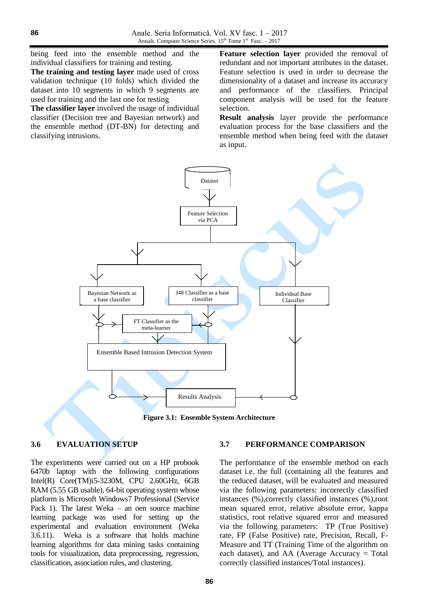being feed into the ensemble method and the individual classifiers for training and testing.

**The training and testing layer** made used of cross validation technique (10 folds) which divided the dataset into 10 segments in which 9 segments are used for training and the last one for testing

**The classifier layer** involved the usage of individual classifier (Decision tree and Bayesian network) and the ensemble method (DT-BN) for detecting and classifying intrusions.

**Feature selection layer** provided the removal of redundant and not important attributes in the dataset. Feature selection is used in order to decrease the dimensionality of a dataset and increase its accuracy and performance of the classifiers. Principal component analysis will be used for the feature selection.

**Result analysis** layer provide the performance evaluation process for the base classifiers and the ensemble method when being feed with the dataset as input.



**Figure 3.1: Ensemble System Architecture**

# **3.6 EVALUATION SETUP**

The experiments were carried out on a HP probook 6470b laptop with the following configurations Intel(R) Core(TM)i5-3230M, CPU 2.60GHz, 6GB RAM (5.55 GB usable), 64-bit operating system whose platform is Microsoft Windows7 Professional (Service Pack 1). The latest Weka – an oen source machine learning package was used for setting up the experimental and evaluation environment (Weka 3.6.11). Weka is a software that holds machine learning algorithms for data mining tasks containing tools for visualization, data preprocessing, regression, classification, association rules, and clustering.

#### **3.7 PERFORMANCE COMPARISON**

The performance of the ensemble method on each dataset i.e. the full (containing all the features and the reduced dataset, will be evaluated and measured via the following parameters: incorrectly classified instances (%),correctly classified instances (%),root mean squared error, relative absolute error, kappa statistics, root relative squared error and measured via the following parameters: TP (True Positive) rate, FP (False Positive) rate, Precision, Recall, F-Measure and TT (Training Time of the algorithm on each dataset), and AA (Average Accuracy = Total correctly classified instances/Total instances).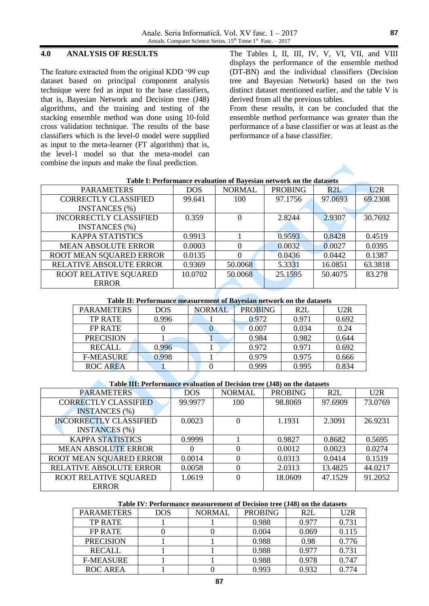### **4.0 ANALYSIS OF RESULTS**

The feature extracted from the original KDD '99 cup dataset based on principal component analysis technique were fed as input to the base classifiers, that is, Bayesian Network and Decision tree (J48) algorithms, and the training and testing of the stacking ensemble method was done using 10-fold cross validation technique. The results of the base classifiers which is the level-0 model were supplied as input to the meta-learner (FT algorithm) that is, the level-1 model so that the meta-model can combine the inputs and make the final prediction.

The Tables I, II, III, IV, V, VI, VII, and VIII displays the performance of the ensemble method (DT-BN) and the individual classifiers (Decision tree and Bayesian Network) based on the two distinct dataset mentioned earlier, and the table V is derived from all the previous tables.

From these results, it can be concluded that the ensemble method performance was greater than the performance of a base classifier or was at least as the performance of a base classifier.

| <b>PARAMETERS</b>              | <b>DOS</b> | <b>NORMAL</b> | <b>PROBING</b> | R2L     | U2R     |
|--------------------------------|------------|---------------|----------------|---------|---------|
| <b>CORRECTLY CLASSIFIED</b>    | 99.641     | 100           | 97.1756        | 97.0693 | 69.2308 |
| <b>INSTANCES</b> (%)           |            |               |                |         |         |
| <b>INCORRECTLY CLASSIFIED</b>  | 0.359      | $\theta$      | 2.8244         | 2.9307  | 30.7692 |
| <b>INSTANCES</b> (%)           |            |               |                |         |         |
| <b>KAPPA STATISTICS</b>        | 0.9913     |               | 0.9593         | 0.8428  | 0.4519  |
| <b>MEAN ABSOLUTE ERROR</b>     | 0.0003     | $\Omega$      | 0.0032         | 0.0027  | 0.0395  |
| ROOT MEAN SQUARED ERROR        | 0.0135     |               | 0.0436         | 0.0442  | 0.1387  |
| <b>RELATIVE ABSOLUTE ERROR</b> | 0.9369     | 50.0068       | 5.3331         | 16.0851 | 63.3818 |
| ROOT RELATIVE SQUARED          | 10.0702    | 50.0068       | 25.1595        | 50.4075 | 83.278  |
| <b>ERROR</b>                   |            |               |                |         |         |

#### **Table I: Performance evaluation of Bayesian network on the datasets**

#### **Table II: Performance measurement of Bayesian network on the datasets**

| <b>PARAMETERS</b> | <b>DOS</b> | <b>NORMAL</b> | <b>PROBING</b> | R2L   | U2R   |
|-------------------|------------|---------------|----------------|-------|-------|
| <b>TP RATE</b>    | 0.996      |               | 0.972          | 0.971 | 0.692 |
| FP RATE           |            |               | 0.007          | 0.034 | 0.24  |
| <b>PRECISION</b>  |            |               | 0.984          | 0.982 | 0.644 |
| <b>RECALL</b>     | 0.996      |               | 0.972          | 0.971 | 0.692 |
| <b>F-MEASURE</b>  | 0.998      |               | 0.979          | 0.975 | 0.666 |
| <b>ROC AREA</b>   |            |               | 0.999          | 0.995 | 0.834 |

#### **Table III: Performance evaluation of Decision tree (J48) on the datasets**

| <b>PARAMETERS</b>              | <b>DOS</b> | <b>NORMAL</b> | <b>PROBING</b> | R2L     | U2R     |
|--------------------------------|------------|---------------|----------------|---------|---------|
| <b>CORRECTLY CLASSIFIED</b>    | 99.9977    | 100           | 98.8069        | 97.6909 | 73.0769 |
| <b>INSTANCES</b> (%)           |            |               |                |         |         |
| <b>INCORRECTLY CLASSIFIED</b>  | 0.0023     | $\theta$      | 1.1931         | 2.3091  | 26.9231 |
| <b>INSTANCES</b> (%)           |            |               |                |         |         |
| <b>KAPPA STATISTICS</b>        | 0.9999     |               | 0.9827         | 0.8682  | 0.5695  |
| <b>MEAN ABSOLUTE ERROR</b>     | $\theta$   |               | 0.0012         | 0.0023  | 0.0274  |
| ROOT MEAN SQUARED ERROR        | 0.0014     | $\theta$      | 0.0313         | 0.0414  | 0.1519  |
| <b>RELATIVE ABSOLUTE ERROR</b> | 0.0058     | 0             | 2.0313         | 13.4825 | 44.0217 |
| ROOT RELATIVE SQUARED          | 1.0619     |               | 18.0609        | 47.1529 | 91.2052 |
| <b>ERROR</b>                   |            |               |                |         |         |

#### **Table IV: Performance measurement of Decision tree (J48) on the datasets**

| <b>PARAMETERS</b> | <b>DOS</b> | <b>NORMAL</b> | <b>PROBING</b> | R <sub>2L</sub> | U2R   |
|-------------------|------------|---------------|----------------|-----------------|-------|
| <b>TP RATE</b>    |            |               | 0.988          | 0.977           | 0.731 |
| FP RATE           |            |               | 0.004          | 0.069           | 0.115 |
| <b>PRECISION</b>  |            |               | 0.988          | 0.98            | 0.776 |
| <b>RECALL</b>     |            |               | 0.988          | 0.977           | 0.731 |
| <b>F-MEASURE</b>  |            |               | 0.988          | 0.978           | 0.747 |
| ROC AREA          |            |               | 0.993          | 0.932           | 0.774 |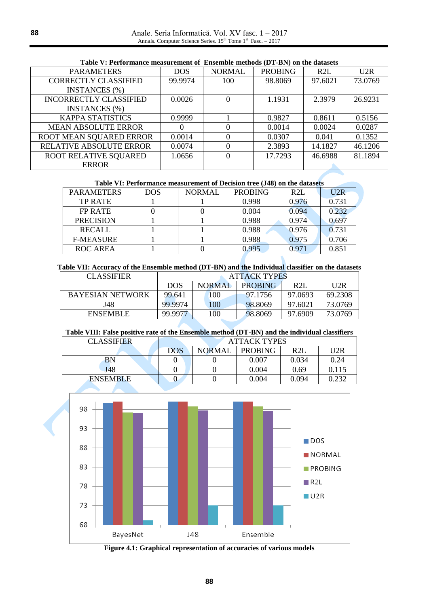| <b>Table V: Ferformance measurement of Ensemble methods (DT-DIV) on the datasets</b> |            |               |                |         |         |  |  |
|--------------------------------------------------------------------------------------|------------|---------------|----------------|---------|---------|--|--|
| <b>PARAMETERS</b>                                                                    | <b>DOS</b> | <b>NORMAL</b> | <b>PROBING</b> | R2L     | U2R     |  |  |
| <b>CORRECTLY CLASSIFIED</b>                                                          | 99.9974    | 100           | 98.8069        | 97.6021 | 73.0769 |  |  |
| <b>INSTANCES</b> (%)                                                                 |            |               |                |         |         |  |  |
| <b>INCORRECTLY CLASSIFIED</b>                                                        | 0.0026     |               | 1.1931         | 2.3979  | 26.9231 |  |  |
| <b>INSTANCES</b> (%)                                                                 |            |               |                |         |         |  |  |
| <b>KAPPA STATISTICS</b>                                                              | 0.9999     |               | 0.9827         | 0.8611  | 0.5156  |  |  |
| <b>MEAN ABSOLUTE ERROR</b>                                                           | $\Omega$   |               | 0.0014         | 0.0024  | 0.0287  |  |  |
| ROOT MEAN SQUARED ERROR                                                              | 0.0014     |               | 0.0307         | 0.041   | 0.1352  |  |  |
| <b>RELATIVE ABSOLUTE ERROR</b>                                                       | 0.0074     | 0             | 2.3893         | 14.1827 | 46.1206 |  |  |
| ROOT RELATIVE SQUARED                                                                | 1.0656     |               | 17.7293        | 46.6988 | 81.1894 |  |  |
| <b>ERROR</b>                                                                         |            |               |                |         |         |  |  |

# **Table V: Performance measurement of Ensemble methods (DT-BN) on the datasets**

#### **Table VI: Performance measurement of Decision tree (J48) on the datasets**

| <b>PARAMETERS</b> | <b>DOS</b> | <b>NORMAL</b> | <b>PROBING</b> | R2L   | U2R   |
|-------------------|------------|---------------|----------------|-------|-------|
| <b>TP RATE</b>    |            |               | 0.998          | 0.976 | 0.731 |
| FP RATE           |            |               | 0.004          | 0.094 | 0.232 |
| <b>PRECISION</b>  |            |               | 0.988          | 0.974 | 0.697 |
| <b>RECALL</b>     |            |               | 0.988          | 0.976 | 0.731 |
| <b>F-MEASURE</b>  |            |               | 0.988          | 0.975 | 0.706 |
| ROC AREA          |            |               | 0.995          | 0.971 | 0.851 |

**Table VII: Accuracy of the Ensemble method (DT-BN) and the Individual classifier on the datasets**

| <b>CLASSIFIER</b>       | <b>ATTACK TYPES</b> |               |                |                 |         |
|-------------------------|---------------------|---------------|----------------|-----------------|---------|
|                         | <b>DOS</b>          | <b>NORMAI</b> | <b>PROBING</b> | R <sub>2L</sub> | U2R     |
| <b>BAYESIAN NETWORK</b> | 99.641              | 100           | 97.1756        | 97.0693         | 69.2308 |
| J48                     | 99.9974             | 100           | 98.8069        | 97.6021         | 73.0769 |
| <b>ENSEMBLE</b>         | 99.9977             | 100           | 98.8069        | 97.6909         | 73.0769 |

#### **Table VIII: False positive rate of the Ensemble method (DT-BN) and the individual classifiers**

| <b>CLASSIFIER</b> | <b>ATTACK TYPES</b> |               |                |       |       |  |
|-------------------|---------------------|---------------|----------------|-------|-------|--|
|                   | DOS                 | <b>NORMAL</b> | <b>PROBING</b> | R2L   | U2R   |  |
| <b>BN</b>         |                     |               | 0.007          | 0.034 | 0.24  |  |
| J48               |                     |               | 0.004          | 0.69  | 0.115 |  |
| <b>ENSEMBLE</b>   | U                   |               | 0.004          | 0.094 | 0.232 |  |
|                   |                     |               |                |       |       |  |



**Figure 4.1: Graphical representation of accuracies of various models**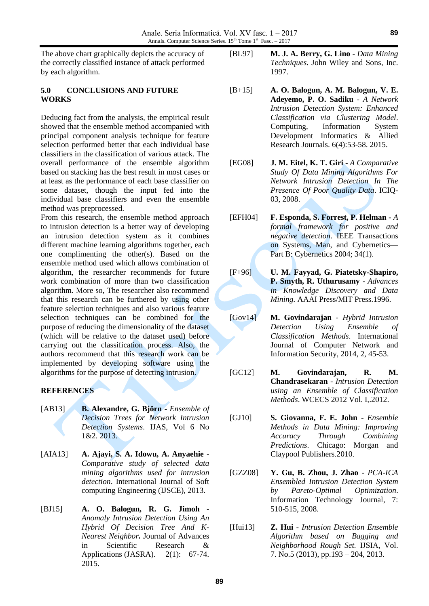The above chart graphically depicts the accuracy of the correctly classified instance of attack performed by each algorithm.

#### **5.0 CONCLUSIONS AND FUTURE WORKS**

Deducing fact from the analysis, the empirical result showed that the ensemble method accompanied with principal component analysis technique for feature selection performed better that each individual base classifiers in the classification of various attack. The overall performance of the ensemble algorithm based on stacking has the best result in most cases or at least as the performance of each base classifier on some dataset, though the input fed into the individual base classifiers and even the ensemble method was preprocessed.

From this research, the ensemble method approach to intrusion detection is a better way of developing an intrusion detection system as it combines different machine learning algorithms together, each one complimenting the other(s). Based on the ensemble method used which allows combination of algorithm, the researcher recommends for future work combination of more than two classification algorithm. More so, The researcher also recommend that this research can be furthered by using other feature selection techniques and also various feature selection techniques can be combined for the purpose of reducing the dimensionality of the dataset (which will be relative to the dataset used) before carrying out the classification process. Also, the authors recommend that this research work can be implemented by developing software using the algorithms for the purpose of detecting intrusion.

#### **REFERENCES**

- [AB13] **B. Alexandre, G. Björn** *Ensemble of Decision Trees for Network Intrusion Detection Systems*. IJAS, Vol 6 No 1&2. 2013.
- [AIA13] **A. Ajayi, S. A. Idowu, A. Anyaehie** *Comparative study of selected data mining algorithms used for intrusion detection*. International Journal of Soft computing Engineering (IJSCE), 2013.
- [BJ15] **A. O. Balogun, R. G. Jimoh -** *Anomaly Intrusion Detection Using An Hybrid Of Decision Tree And K-Nearest Neighbor.* Journal of Advances in Scientific Research & Applications (JASRA). 2(1): 67-74. 2015.
- [BL97] **M. J. A. Berry, G. Lino** *Data Mining Techniques.* John Wiley and Sons, Inc. 1997.
- [B+15] **A. O. Balogun, A. M. Balogun, V. E. Adeyemo, P. O. Sadiku** *- A Network Intrusion Detection System: Enhanced Classification via Clustering Model*. Computing, Information System Development Informatics & Allied Research Journals. 6(4):53-58. 2015.
- [EG08] **J. M. Eitel, K. T. Giri**  *A Comparative Study Of Data Mining Algorithms For Network Intrusion Detection In The Presence Of Poor Quality Data*. ICIQ-03, 2008.
- [EFH04] **F. Esponda, S. Forrest, P. Helman -** *A formal framework for positive and negative detection*. IEEE Transactions on Systems, Man, and Cybernetics— Part B: Cybernetics 2004; 34(1).
- [F+96] **U. M. Fayyad, G. Piatetsky-Shapiro, P. Smyth, R. Uthurusamy** - *Advances in Knowledge Discovery and Data Mining.* AAAI Press/MIT Press.1996.
- [Gov14] **M. Govindarajan** *- Hybrid Intrusion Detection Using Ensemble of Classification Methods*. International Journal of Computer Network and Information Security, 2014, 2, 45-53.
- [GC12] **M. Govindarajan, R. M. Chandrasekaran** - *Intrusion Detection using an Ensemble of Classification Methods*. WCECS 2012 Vol. I,.2012.
- [GJ10] **S. Giovanna, F. E. John** *Ensemble Methods in Data Mining: Improving Accuracy Through Combining Predictions*. Chicago: Morgan and Claypool Publishers.2010.
- [GZZ08] **Y. Gu, B. Zhou, J. Zhao** *PCA-ICA Ensembled Intrusion Detection System by Pareto-Optimal Optimization*. Information Technology Journal, 7: 510-515, 2008.
- [Hui13] **Z. Hui** *Intrusion Detection Ensemble Algorithm based on Bagging and Neighborhood Rough Set.* IJSIA, Vol. 7. No.5 (2013), pp.193 – 204, 2013.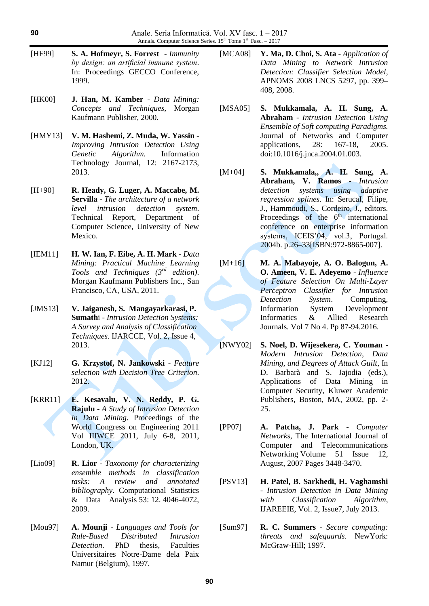- [HF99] **S. A. Hofmeyr, S. Forrest**  *Immunity by design: an artificial immune system*. In: Proceedings GECCO Conference, 1999.
- [HK00**] J. Han, M. Kamber** *Data Mining: Concepts and Techniques,* Morgan Kaufmann Publisher, 2000.
- [HMY13] **V. M. Hashemi, Z. Muda, W. Yassin** *- Improving Intrusion Detection Using Genetic Algorithm.* Information Technology Journal, 12: 2167-2173, 2013.
- [H+90] **R. Heady, G. Luger, A. Maccabe, M. Servilla** - *The architecture of a network level intrusion detection system*. Technical Report, Department of Computer Science, University of New Mexico.
- [IEM11] **H. W. Ian, F. Eibe, A. H. Mark** *Data Mining: Practical Machine Learning Tools and Techniques (3rd edition)*. Morgan Kaufmann Publishers Inc., San Francisco, CA, USA, 2011.
- [JMS13] **V. Jaiganesh, S. Mangayarkarasi, P. Sumath**i - *Intrusion Detection Systems: A Survey and Analysis of Classification Techniques*. IJARCCE, Vol. 2, Issue 4, 2013.
- [KJ12] **G. Krzystof, N. Jankowski** *Feature selection with Decision Tree Criterion*. 2012.
- [KRR11] **E. Kesavalu, V. N. Reddy, P. G. Rajulu** - *A Study of Intrusion Detection in Data Mining*. Proceedings of the World Congress on Engineering 2011 Vol IIIWCE 2011, July 6-8, 2011, London, UK.
- [Lio09] **R. Lior**  *Taxonomy for characterizing ensemble methods in classification tasks: A review and annotated bibliography*. Computational Statistics & Data Analysis 53: 12. 4046-4072, 2009.
- [Mou97] **A. Mounji**  *Languages and Tools for Rule-Based Distributed Intrusion Detection*. PhD thesis, Faculties Universitaires Notre-Dame dela Paix Namur (Belgium), 1997.
- [MCA08] **Y. Ma, D. Choi, S. Ata** *Application of Data Mining to Network Intrusion Detection: Classifier Selection Model*, APNOMS 2008 LNCS 5297, pp. 399– 408, 2008.
- [MSA05] **S. Mukkamala, A. H. Sung, A. Abraham** - *Intrusion Detection Using Ensemble of Soft computing Paradigms.* Journal of Networks and Computer applications, 28: 167-18, 2005. doi:10.1016/j.jnca.2004.01.003.
- [M+04] **S. Mukkamala,, A. H. Sung, A. Abraham, V. Ramos** - *Intrusion detection systems using regression splines*. In: SerucaI, Filipe, J., Hammoudi, S., Cordeiro, J., editors. Proceedings of the  $6<sup>th</sup>$  international conference on enterprise information systems, ICEIS'04, vol.3, Portugal. 2004b. p.26–33[ISBN:972-8865-007].
- [M+16] **M. A. Mabayoje, A. O. Balogun, A. O. Ameen, V. E. Adeyemo** - *Influence of Feature Selection On Multi-Layer Perceptron Classifier for Intrusion Detection System*. Computing, Information System Development Informatics & Allied Research Journals. Vol 7 No 4. Pp 87-94.2016.
- [NWY02] **S. Noel, D. Wijesekera, C. Youman** *Modern Intrusion Detection, Data Mining, and Degrees of Attack Guilt*, In D. Barbarà and S. Jajodia (eds.), Applications of Data Mining in Computer Security, Kluwer Academic Publishers, Boston, MA, 2002, pp. 2- 25.
- [PP07] **A. Patcha, J. Park** *Computer Networks*, The International Journal of Computer and Telecommunications Networking Volume 51 Issue 12, August, 2007 Pages 3448-3470.
- [PSV13] **H. Patel, B. Sarkhedi, H. Vaghamshi** - *Intrusion Detection in Data Mining with Classification Algorithm*, IJAREEIE, Vol. 2, Issue7, July 2013.
- [Sum97] **R. C. Summers** *Secure computing: threats and safeguards.* NewYork: McGraw-Hill; 1997.